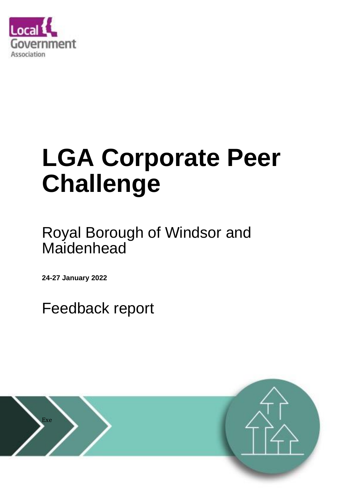

# **LGA Corporate Peer Challenge**

Royal Borough of Windsor and Maidenhead

**24-27 January 2022**

Feedback report

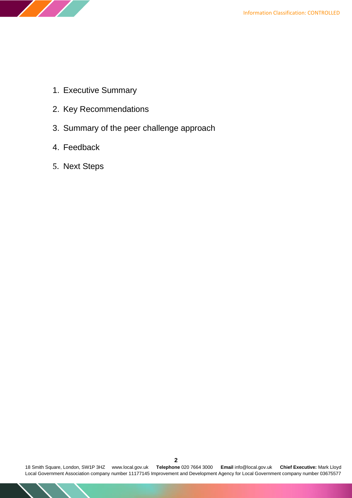

- 1. Executive Summary
- 2. Key Recommendations
- 3. Summary of the peer challenge approach
- 4. Feedback
- 5. Next Steps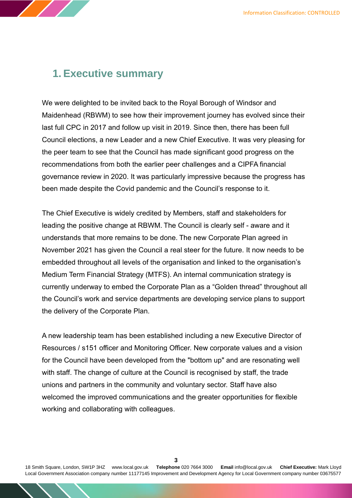# **1. Executive summary**

We were delighted to be invited back to the Royal Borough of Windsor and Maidenhead (RBWM) to see how their improvement journey has evolved since their last full CPC in 2017 and follow up visit in 2019. Since then, there has been full Council elections, a new Leader and a new Chief Executive. It was very pleasing for the peer team to see that the Council has made significant good progress on the recommendations from both the earlier peer challenges and a CIPFA financial governance review in 2020. It was particularly impressive because the progress has been made despite the Covid pandemic and the Council's response to it.

The Chief Executive is widely credited by Members, staff and stakeholders for leading the positive change at RBWM. The Council is clearly self - aware and it understands that more remains to be done. The new Corporate Plan agreed in November 2021 has given the Council a real steer for the future. It now needs to be embedded throughout all levels of the organisation and linked to the organisation's Medium Term Financial Strategy (MTFS). An internal communication strategy is currently underway to embed the Corporate Plan as a "Golden thread" throughout all the Council's work and service departments are developing service plans to support the delivery of the Corporate Plan.

A new leadership team has been established including a new Executive Director of Resources / s151 officer and Monitoring Officer. New corporate values and a vision for the Council have been developed from the "bottom up" and are resonating well with staff. The change of culture at the Council is recognised by staff, the trade unions and partners in the community and voluntary sector. Staff have also welcomed the improved communications and the greater opportunities for flexible working and collaborating with colleagues.

18 Smith Square, London, SW1P 3HZ [www.local.gov.uk](http://www.local.gov.uk/) **Telephone** 020 7664 3000 **Email** [info@local.gov.uk](mailto:info@local.gov.uk) **Chief Executive:** Mark Lloyd Local Government Association company number 11177145 Improvement and Development Agency for Local Government company number 03675577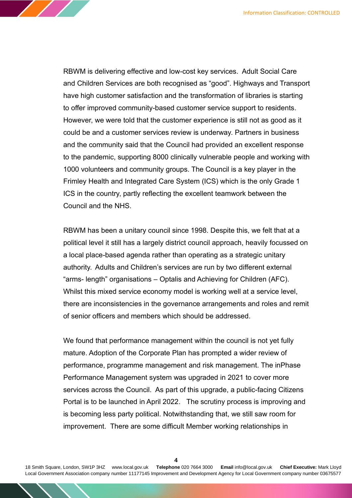RBWM is delivering effective and low-cost key services. Adult Social Care and Children Services are both recognised as "good". Highways and Transport have high customer satisfaction and the transformation of libraries is starting to offer improved community-based customer service support to residents. However, we were told that the customer experience is still not as good as it could be and a customer services review is underway. Partners in business and the community said that the Council had provided an excellent response to the pandemic, supporting 8000 clinically vulnerable people and working with 1000 volunteers and community groups. The Council is a key player in the Frimley Health and Integrated Care System (ICS) which is the only Grade 1 ICS in the country, partly reflecting the excellent teamwork between the Council and the NHS.

RBWM has been a unitary council since 1998. Despite this, we felt that at a political level it still has a largely district council approach, heavily focussed on a local place-based agenda rather than operating as a strategic unitary authority. Adults and Children's services are run by two different external "arms- length" organisations – Optalis and Achieving for Children (AFC). Whilst this mixed service economy model is working well at a service level, there are inconsistencies in the governance arrangements and roles and remit of senior officers and members which should be addressed.

We found that performance management within the council is not yet fully mature. Adoption of the Corporate Plan has prompted a wider review of performance, programme management and risk management. The inPhase Performance Management system was upgraded in 2021 to cover more services across the Council. As part of this upgrade, a public-facing Citizens Portal is to be launched in April 2022. The scrutiny process is improving and is becoming less party political. Notwithstanding that, we still saw room for improvement. There are some difficult Member working relationships in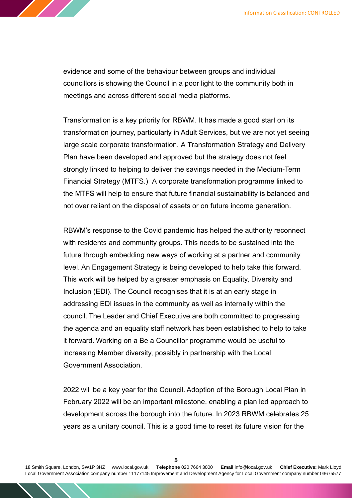

evidence and some of the behaviour between groups and individual councillors is showing the Council in a poor light to the community both in meetings and across different social media platforms.

Transformation is a key priority for RBWM. It has made a good start on its transformation journey, particularly in Adult Services, but we are not yet seeing large scale corporate transformation. A Transformation Strategy and Delivery Plan have been developed and approved but the strategy does not feel strongly linked to helping to deliver the savings needed in the Medium-Term Financial Strategy (MTFS.) A corporate transformation programme linked to the MTFS will help to ensure that future financial sustainability is balanced and not over reliant on the disposal of assets or on future income generation.

RBWM's response to the Covid pandemic has helped the authority reconnect with residents and community groups. This needs to be sustained into the future through embedding new ways of working at a partner and community level. An Engagement Strategy is being developed to help take this forward. This work will be helped by a greater emphasis on Equality, Diversity and Inclusion (EDI). The Council recognises that it is at an early stage in addressing EDI issues in the community as well as internally within the council. The Leader and Chief Executive are both committed to progressing the agenda and an equality staff network has been established to help to take it forward. Working on a Be a Councillor programme would be useful to increasing Member diversity, possibly in partnership with the Local Government Association.

2022 will be a key year for the Council. Adoption of the Borough Local Plan in February 2022 will be an important milestone, enabling a plan led approach to development across the borough into the future. In 2023 RBWM celebrates 25 years as a unitary council. This is a good time to reset its future vision for the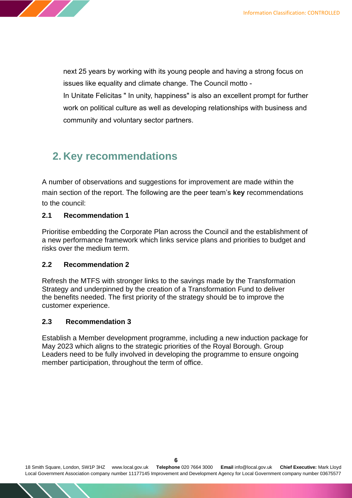next 25 years by working with its young people and having a strong focus on issues like equality and climate change. The Council motto -

In Unitate Felicitas " In unity, happiness" is also an excellent prompt for further work on political culture as well as developing relationships with business and community and voluntary sector partners.

# **2. Key recommendations**

A number of observations and suggestions for improvement are made within the main section of the report. The following are the peer team's **key** recommendations to the council:

#### **2.1 Recommendation 1**

Prioritise embedding the Corporate Plan across the Council and the establishment of a new performance framework which links service plans and priorities to budget and risks over the medium term.

#### **2.2 Recommendation 2**

Refresh the MTFS with stronger links to the savings made by the Transformation Strategy and underpinned by the creation of a Transformation Fund to deliver the benefits needed. The first priority of the strategy should be to improve the customer experience.

#### **2.3 Recommendation 3**

Establish a Member development programme, including a new induction package for May 2023 which aligns to the strategic priorities of the Royal Borough. Group Leaders need to be fully involved in developing the programme to ensure ongoing member participation, throughout the term of office.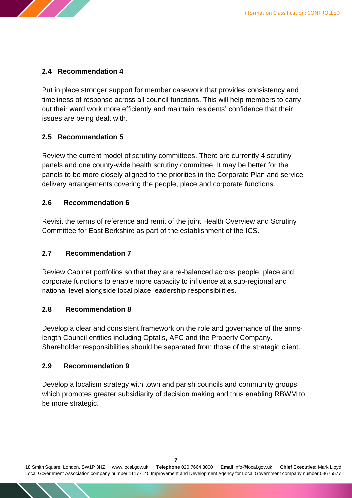

#### **2.4 Recommendation 4**

Put in place stronger support for member casework that provides consistency and timeliness of response across all council functions. This will help members to carry out their ward work more efficiently and maintain residents' confidence that their issues are being dealt with.

#### **2.5 Recommendation 5**

Review the current model of scrutiny committees. There are currently 4 scrutiny panels and one county-wide health scrutiny committee. It may be better for the panels to be more closely aligned to the priorities in the Corporate Plan and service delivery arrangements covering the people, place and corporate functions.

#### **2.6 Recommendation 6**

Revisit the terms of reference and remit of the joint Health Overview and Scrutiny Committee for East Berkshire as part of the establishment of the ICS.

#### **2.7 Recommendation 7**

Review Cabinet portfolios so that they are re-balanced across people, place and corporate functions to enable more capacity to influence at a sub-regional and national level alongside local place leadership responsibilities.

#### **2.8 Recommendation 8**

Develop a clear and consistent framework on the role and governance of the armslength Council entities including Optalis, AFC and the Property Company. Shareholder responsibilities should be separated from those of the strategic client.

#### **2.9 Recommendation 9**

Develop a localism strategy with town and parish councils and community groups which promotes greater subsidiarity of decision making and thus enabling RBWM to be more strategic.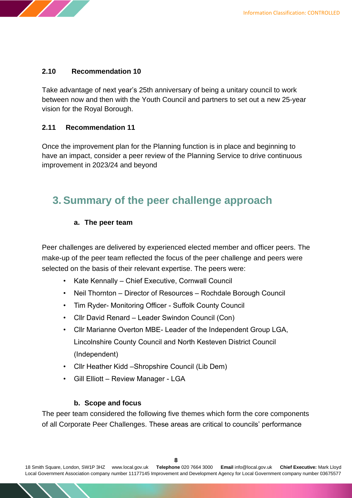

#### **2.10 Recommendation 10**

Take advantage of next year's 25th anniversary of being a unitary council to work between now and then with the Youth Council and partners to set out a new 25-year vision for the Royal Borough.

#### **2.11 Recommendation 11**

Once the improvement plan for the Planning function is in place and beginning to have an impact, consider a peer review of the Planning Service to drive continuous improvement in 2023/24 and beyond

# **3. Summary of the peer challenge approach**

#### **a. The peer team**

Peer challenges are delivered by experienced elected member and officer peers. The make-up of the peer team reflected the focus of the peer challenge and peers were selected on the basis of their relevant expertise. The peers were:

- Kate Kennally Chief Executive, Cornwall Council
- Neil Thornton Director of Resources Rochdale Borough Council
- Tim Ryder- Monitoring Officer Suffolk County Council
- Cllr David Renard Leader Swindon Council (Con)
- Cllr Marianne Overton MBE- Leader of the Independent Group LGA, Lincolnshire County Council and North Kesteven District Council (Independent)
- Cllr Heather Kidd –Shropshire Council (Lib Dem)
- Gill Elliott Review Manager LGA

#### **b. Scope and focus**

The peer team considered the following five themes which form the core components of all Corporate Peer Challenges. These areas are critical to councils' performance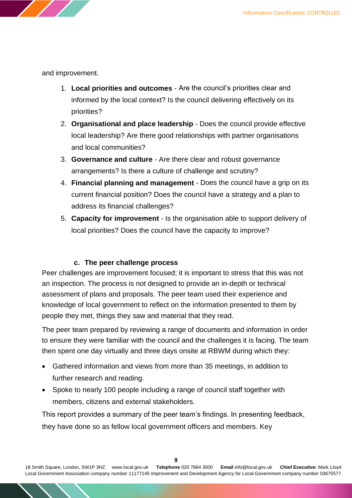

and improvement.

- 1. **Local priorities and outcomes** Are the council's priorities clear and informed by the local context? Is the council delivering effectively on its priorities?
- 2. **Organisational and place leadership** Does the council provide effective local leadership? Are there good relationships with partner organisations and local communities?
- 3. **Governance and culture** Are there clear and robust governance arrangements? Is there a culture of challenge and scrutiny?
- 4. **Financial planning and management** Does the council have a grip on its current financial position? Does the council have a strategy and a plan to address its financial challenges?
- 5. **Capacity for improvement** Is the organisation able to support delivery of local priorities? Does the council have the capacity to improve?

#### **c. The peer challenge process**

Peer challenges are improvement focused; it is important to stress that this was not an inspection. The process is not designed to provide an in-depth or technical assessment of plans and proposals. The peer team used their experience and knowledge of local government to reflect on the information presented to them by people they met, things they saw and material that they read.

The peer team prepared by reviewing a range of documents and information in order to ensure they were familiar with the council and the challenges it is facing. The team then spent one day virtually and three days onsite at RBWM during which they:

- Gathered information and views from more than 35 meetings, in addition to further research and reading.
- Spoke to nearly 100 people including a range of council staff together with members, citizens and external stakeholders.

This report provides a summary of the peer team's findings. In presenting feedback, they have done so as fellow local government officers and members. Key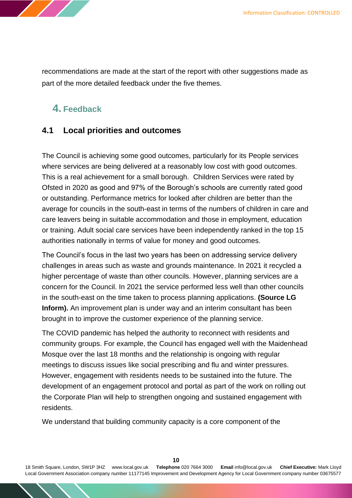

recommendations are made at the start of the report with other suggestions made as part of the more detailed feedback under the five themes.

# **4. Feedback**

## **4.1 Local priorities and outcomes**

The Council is achieving some good outcomes, particularly for its People services where services are being delivered at a reasonably low cost with good outcomes. This is a real achievement for a small borough. Children Services were rated by Ofsted in 2020 as good and 97% of the Borough's schools are currently rated good or outstanding. Performance metrics for looked after children are better than the average for councils in the south-east in terms of the numbers of children in care and care leavers being in suitable accommodation and those in employment, education or training. Adult social care services have been independently ranked in the top 15 authorities nationally in terms of value for money and good outcomes.

The Council's focus in the last two years has been on addressing service delivery challenges in areas such as waste and grounds maintenance. In 2021 it recycled a higher percentage of waste than other councils. However, planning services are a concern for the Council. In 2021 the service performed less well than other councils in the south-east on the time taken to process planning applications. **(Source LG Inform).** An improvement plan is under way and an interim consultant has been brought in to improve the customer experience of the planning service.

The COVID pandemic has helped the authority to reconnect with residents and community groups. For example, the Council has engaged well with the Maidenhead Mosque over the last 18 months and the relationship is ongoing with regular meetings to discuss issues like social prescribing and flu and winter pressures. However, engagement with residents needs to be sustained into the future. The development of an engagement protocol and portal as part of the work on rolling out the Corporate Plan will help to strengthen ongoing and sustained engagement with residents.

We understand that building community capacity is a core component of the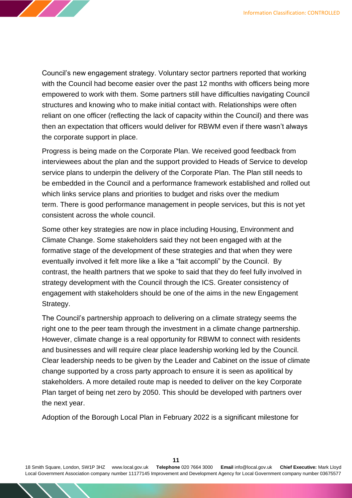Council's new engagement strategy. Voluntary sector partners reported that working with the Council had become easier over the past 12 months with officers being more empowered to work with them. Some partners still have difficulties navigating Council structures and knowing who to make initial contact with. Relationships were often reliant on one officer (reflecting the lack of capacity within the Council) and there was then an expectation that officers would deliver for RBWM even if there wasn't always the corporate support in place.

Progress is being made on the Corporate Plan. We received good feedback from interviewees about the plan and the support provided to Heads of Service to develop service plans to underpin the delivery of the Corporate Plan. The Plan still needs to be embedded in the Council and a performance framework established and rolled out which links service plans and priorities to budget and risks over the medium term. There is good performance management in people services, but this is not yet consistent across the whole council.

Some other key strategies are now in place including Housing, Environment and Climate Change. Some stakeholders said they not been engaged with at the formative stage of the development of these strategies and that when they were eventually involved it felt more like a like a "fait accompli" by the Council. By contrast, the health partners that we spoke to said that they do feel fully involved in strategy development with the Council through the ICS. Greater consistency of engagement with stakeholders should be one of the aims in the new Engagement Strategy.

The Council's partnership approach to delivering on a climate strategy seems the right one to the peer team through the investment in a climate change partnership. However, climate change is a real opportunity for RBWM to connect with residents and businesses and will require clear place leadership working led by the Council. Clear leadership needs to be given by the Leader and Cabinet on the issue of climate change supported by a cross party approach to ensure it is seen as apolitical by stakeholders. A more detailed route map is needed to deliver on the key Corporate Plan target of being net zero by 2050. This should be developed with partners over the next year.

Adoption of the Borough Local Plan in February 2022 is a significant milestone for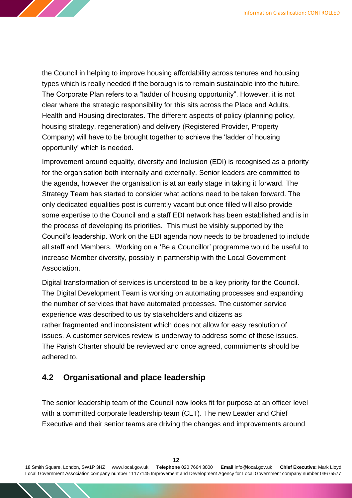the Council in helping to improve housing affordability across tenures and housing types which is really needed if the borough is to remain sustainable into the future. The Corporate Plan refers to a "ladder of housing opportunity". However, it is not clear where the strategic responsibility for this sits across the Place and Adults, Health and Housing directorates. The different aspects of policy (planning policy, housing strategy, regeneration) and delivery (Registered Provider, Property Company) will have to be brought together to achieve the 'ladder of housing opportunity' which is needed.

Improvement around equality, diversity and Inclusion (EDI) is recognised as a priority for the organisation both internally and externally. Senior leaders are committed to the agenda, however the organisation is at an early stage in taking it forward. The Strategy Team has started to consider what actions need to be taken forward. The only dedicated equalities post is currently vacant but once filled will also provide some expertise to the Council and a staff EDI network has been established and is in the process of developing its priorities. This must be visibly supported by the Council's leadership. Work on the EDI agenda now needs to be broadened to include all staff and Members. Working on a 'Be a Councillor' programme would be useful to increase Member diversity, possibly in partnership with the Local Government Association.

Digital transformation of services is understood to be a key priority for the Council. The Digital Development Team is working on automating processes and expanding the number of services that have automated processes. The customer service experience was described to us by stakeholders and citizens as rather fragmented and inconsistent which does not allow for easy resolution of issues. A customer services review is underway to address some of these issues. The Parish Charter should be reviewed and once agreed, commitments should be adhered to.

## **4.2 Organisational and place leadership**

The senior leadership team of the Council now looks fit for purpose at an officer level with a committed corporate leadership team (CLT). The new Leader and Chief Executive and their senior teams are driving the changes and improvements around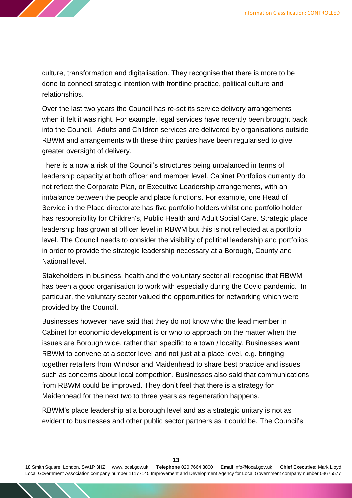culture, transformation and digitalisation. They recognise that there is more to be done to connect strategic intention with frontline practice, political culture and relationships.

Over the last two years the Council has re-set its service delivery arrangements when it felt it was right. For example, legal services have recently been brought back into the Council. Adults and Children services are delivered by organisations outside RBWM and arrangements with these third parties have been regularised to give greater oversight of delivery.

There is a now a risk of the Council's structures being unbalanced in terms of leadership capacity at both officer and member level. Cabinet Portfolios currently do not reflect the Corporate Plan, or Executive Leadership arrangements, with an imbalance between the people and place functions. For example, one Head of Service in the Place directorate has five portfolio holders whilst one portfolio holder has responsibility for Children's, Public Health and Adult Social Care. Strategic place leadership has grown at officer level in RBWM but this is not reflected at a portfolio level. The Council needs to consider the visibility of political leadership and portfolios in order to provide the strategic leadership necessary at a Borough, County and National level.

Stakeholders in business, health and the voluntary sector all recognise that RBWM has been a good organisation to work with especially during the Covid pandemic. In particular, the voluntary sector valued the opportunities for networking which were provided by the Council.

Businesses however have said that they do not know who the lead member in Cabinet for economic development is or who to approach on the matter when the issues are Borough wide, rather than specific to a town / locality. Businesses want RBWM to convene at a sector level and not just at a place level, e.g. bringing together retailers from Windsor and Maidenhead to share best practice and issues such as concerns about local competition. Businesses also said that communications from RBWM could be improved. They don't feel that there is a strategy for Maidenhead for the next two to three years as regeneration happens.

RBWM's place leadership at a borough level and as a strategic unitary is not as evident to businesses and other public sector partners as it could be. The Council's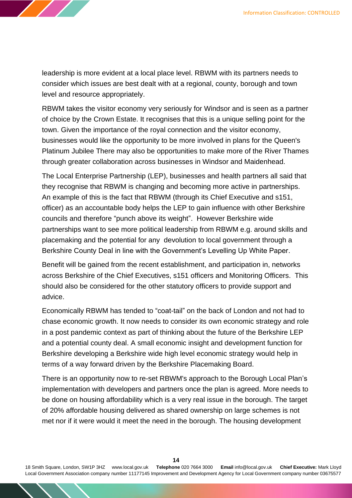leadership is more evident at a local place level. RBWM with its partners needs to consider which issues are best dealt with at a regional, county, borough and town level and resource appropriately.

RBWM takes the visitor economy very seriously for Windsor and is seen as a partner of choice by the Crown Estate. It recognises that this is a unique selling point for the town. Given the importance of the royal connection and the visitor economy, businesses would like the opportunity to be more involved in plans for the Queen's Platinum Jubilee There may also be opportunities to make more of the River Thames through greater collaboration across businesses in Windsor and Maidenhead.

The Local Enterprise Partnership (LEP), businesses and health partners all said that they recognise that RBWM is changing and becoming more active in partnerships. An example of this is the fact that RBWM (through its Chief Executive and s151, officer) as an accountable body helps the LEP to gain influence with other Berkshire councils and therefore "punch above its weight". However Berkshire wide partnerships want to see more political leadership from RBWM e.g. around skills and placemaking and the potential for any devolution to local government through a Berkshire County Deal in line with the Government's Levelling Up White Paper.

Benefit will be gained from the recent establishment, and participation in, networks across Berkshire of the Chief Executives, s151 officers and Monitoring Officers. This should also be considered for the other statutory officers to provide support and advice.

Economically RBWM has tended to "coat-tail" on the back of London and not had to chase economic growth. It now needs to consider its own economic strategy and role in a post pandemic context as part of thinking about the future of the Berkshire LEP and a potential county deal. A small economic insight and development function for Berkshire developing a Berkshire wide high level economic strategy would help in terms of a way forward driven by the Berkshire Placemaking Board.

There is an opportunity now to re-set RBWM's approach to the Borough Local Plan's implementation with developers and partners once the plan is agreed. More needs to be done on housing affordability which is a very real issue in the borough. The target of 20% affordable housing delivered as shared ownership on large schemes is not met nor if it were would it meet the need in the borough. The housing development

18 Smith Square, London, SW1P 3HZ [www.local.gov.uk](http://www.local.gov.uk/) **Telephone** 020 7664 3000 **Email** [info@local.gov.uk](mailto:info@local.gov.uk) **Chief Executive:** Mark Lloyd Local Government Association company number 11177145 Improvement and Development Agency for Local Government company number 03675577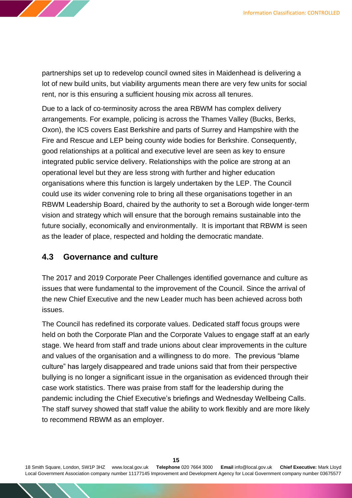partnerships set up to redevelop council owned sites in Maidenhead is delivering a lot of new build units, but viability arguments mean there are very few units for social rent, nor is this ensuring a sufficient housing mix across all tenures.

Due to a lack of co-terminosity across the area RBWM has complex delivery arrangements. For example, policing is across the Thames Valley (Bucks, Berks, Oxon), the ICS covers East Berkshire and parts of Surrey and Hampshire with the Fire and Rescue and LEP being county wide bodies for Berkshire. Consequently, good relationships at a political and executive level are seen as key to ensure integrated public service delivery. Relationships with the police are strong at an operational level but they are less strong with further and higher education organisations where this function is largely undertaken by the LEP. The Council could use its wider convening role to bring all these organisations together in an RBWM Leadership Board, chaired by the authority to set a Borough wide longer-term vision and strategy which will ensure that the borough remains sustainable into the future socially, economically and environmentally. It is important that RBWM is seen as the leader of place, respected and holding the democratic mandate.

### **4.3 Governance and culture**

The 2017 and 2019 Corporate Peer Challenges identified governance and culture as issues that were fundamental to the improvement of the Council. Since the arrival of the new Chief Executive and the new Leader much has been achieved across both issues.

The Council has redefined its corporate values. Dedicated staff focus groups were held on both the Corporate Plan and the Corporate Values to engage staff at an early stage. We heard from staff and trade unions about clear improvements in the culture and values of the organisation and a willingness to do more. The previous "blame culture" has largely disappeared and trade unions said that from their perspective bullying is no longer a significant issue in the organisation as evidenced through their case work statistics. There was praise from staff for the leadership during the pandemic including the Chief Executive's briefings and Wednesday Wellbeing Calls. The staff survey showed that staff value the ability to work flexibly and are more likely to recommend RBWM as an employer.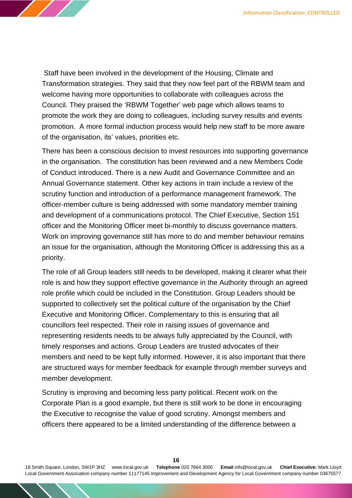Staff have been involved in the development of the Housing, Climate and Transformation strategies. They said that they now feel part of the RBWM team and welcome having more opportunities to collaborate with colleagues across the Council. They praised the 'RBWM Together' web page which allows teams to promote the work they are doing to colleagues, including survey results and events promotion. A more formal induction process would help new staff to be more aware of the organisation, its' values, priorities etc.

There has been a conscious decision to invest resources into supporting governance in the organisation. The constitution has been reviewed and a new Members Code of Conduct introduced. There is a new Audit and Governance Committee and an Annual Governance statement. Other key actions in train include a review of the scrutiny function and introduction of a performance management framework. The officer-member culture is being addressed with some mandatory member training and development of a communications protocol. The Chief Executive, Section 151 officer and the Monitoring Officer meet bi-monthly to discuss governance matters. Work on improving governance still has more to do and member behaviour remains an issue for the organisation, although the Monitoring Officer is addressing this as a priority.

The role of all Group leaders still needs to be developed, making it clearer what their role is and how they support effective governance in the Authority through an agreed role profile which could be included in the Constitution. Group Leaders should be supported to collectively set the political culture of the organisation by the Chief Executive and Monitoring Officer. Complementary to this is ensuring that all councillors feel respected. Their role in raising issues of governance and representing residents needs to be always fully appreciated by the Council, with timely responses and actions. Group Leaders are trusted advocates of their members and need to be kept fully informed. However, it is also important that there are structured ways for member feedback for example through member surveys and member development.

Scrutiny is improving and becoming less party political. Recent work on the Corporate Plan is a good example, but there is still work to be done in encouraging the Executive to recognise the value of good scrutiny. Amongst members and officers there appeared to be a limited understanding of the difference between a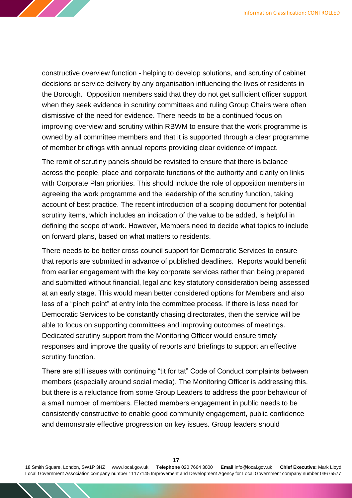constructive overview function - helping to develop solutions, and scrutiny of cabinet decisions or service delivery by any organisation influencing the lives of residents in the Borough. Opposition members said that they do not get sufficient officer support when they seek evidence in scrutiny committees and ruling Group Chairs were often dismissive of the need for evidence. There needs to be a continued focus on improving overview and scrutiny within RBWM to ensure that the work programme is owned by all committee members and that it is supported through a clear programme of member briefings with annual reports providing clear evidence of impact.

The remit of scrutiny panels should be revisited to ensure that there is balance across the people, place and corporate functions of the authority and clarity on links with Corporate Plan priorities. This should include the role of opposition members in agreeing the work programme and the leadership of the scrutiny function, taking account of best practice. The recent introduction of a scoping document for potential scrutiny items, which includes an indication of the value to be added, is helpful in defining the scope of work. However, Members need to decide what topics to include on forward plans, based on what matters to residents.

There needs to be better cross council support for Democratic Services to ensure that reports are submitted in advance of published deadlines. Reports would benefit from earlier engagement with the key corporate services rather than being prepared and submitted without financial, legal and key statutory consideration being assessed at an early stage. This would mean better considered options for Members and also less of a "pinch point" at entry into the committee process. If there is less need for Democratic Services to be constantly chasing directorates, then the service will be able to focus on supporting committees and improving outcomes of meetings. Dedicated scrutiny support from the Monitoring Officer would ensure timely responses and improve the quality of reports and briefings to support an effective scrutiny function.

There are still issues with continuing "tit for tat" Code of Conduct complaints between members (especially around social media). The Monitoring Officer is addressing this, but there is a reluctance from some Group Leaders to address the poor behaviour of a small number of members. Elected members engagement in public needs to be consistently constructive to enable good community engagement, public confidence and demonstrate effective progression on key issues. Group leaders should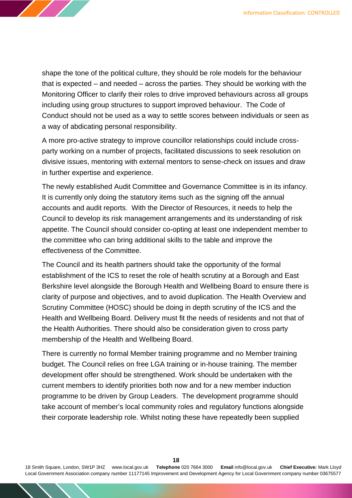shape the tone of the political culture, they should be role models for the behaviour that is expected – and needed – across the parties. They should be working with the Monitoring Officer to clarify their roles to drive improved behaviours across all groups including using group structures to support improved behaviour. The Code of Conduct should not be used as a way to settle scores between individuals or seen as a way of abdicating personal responsibility.

A more pro-active strategy to improve councillor relationships could include crossparty working on a number of projects, facilitated discussions to seek resolution on divisive issues, mentoring with external mentors to sense-check on issues and draw in further expertise and experience.

The newly established Audit Committee and Governance Committee is in its infancy. It is currently only doing the statutory items such as the signing off the annual accounts and audit reports. With the Director of Resources, it needs to help the Council to develop its risk management arrangements and its understanding of risk appetite. The Council should consider co-opting at least one independent member to the committee who can bring additional skills to the table and improve the effectiveness of the Committee.

The Council and its health partners should take the opportunity of the formal establishment of the ICS to reset the role of health scrutiny at a Borough and East Berkshire level alongside the Borough Health and Wellbeing Board to ensure there is clarity of purpose and objectives, and to avoid duplication. The Health Overview and Scrutiny Committee (HOSC) should be doing in depth scrutiny of the ICS and the Health and Wellbeing Board. Delivery must fit the needs of residents and not that of the Health Authorities. There should also be consideration given to cross party membership of the Health and Wellbeing Board.

There is currently no formal Member training programme and no Member training budget. The Council relies on free LGA training or in-house training. The member development offer should be strengthened. Work should be undertaken with the current members to identify priorities both now and for a new member induction programme to be driven by Group Leaders. The development programme should take account of member's local community roles and regulatory functions alongside their corporate leadership role. Whilst noting these have repeatedly been supplied

18 Smith Square, London, SW1P 3HZ [www.local.gov.uk](http://www.local.gov.uk/) **Telephone** 020 7664 3000 **Email** [info@local.gov.uk](mailto:info@local.gov.uk) **Chief Executive:** Mark Lloyd Local Government Association company number 11177145 Improvement and Development Agency for Local Government company number 03675577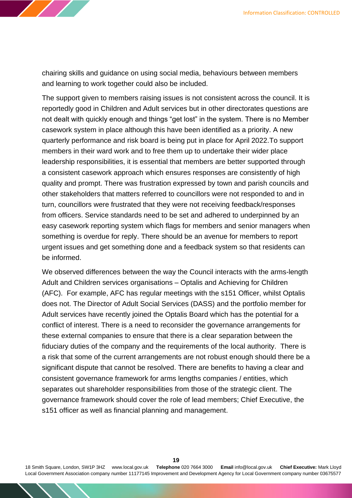

chairing skills and guidance on using social media, behaviours between members and learning to work together could also be included.

The support given to members raising issues is not consistent across the council. It is reportedly good in Children and Adult services but in other directorates questions are not dealt with quickly enough and things "get lost" in the system. There is no Member casework system in place although this have been identified as a priority. A new quarterly performance and risk board is being put in place for April 2022.To support members in their ward work and to free them up to undertake their wider place leadership responsibilities, it is essential that members are better supported through a consistent casework approach which ensures responses are consistently of high quality and prompt. There was frustration expressed by town and parish councils and other stakeholders that matters referred to councillors were not responded to and in turn, councillors were frustrated that they were not receiving feedback/responses from officers. Service standards need to be set and adhered to underpinned by an easy casework reporting system which flags for members and senior managers when something is overdue for reply. There should be an avenue for members to report urgent issues and get something done and a feedback system so that residents can be informed.

We observed differences between the way the Council interacts with the arms-length Adult and Children services organisations – Optalis and Achieving for Children (AFC). For example, AFC has regular meetings with the s151 Officer, whilst Optalis does not. The Director of Adult Social Services (DASS) and the portfolio member for Adult services have recently joined the Optalis Board which has the potential for a conflict of interest. There is a need to reconsider the governance arrangements for these external companies to ensure that there is a clear separation between the fiduciary duties of the company and the requirements of the local authority. There is a risk that some of the current arrangements are not robust enough should there be a significant dispute that cannot be resolved. There are benefits to having a clear and consistent governance framework for arms lengths companies / entities, which separates out shareholder responsibilities from those of the strategic client. The governance framework should cover the role of lead members; Chief Executive, the s151 officer as well as financial planning and management.

18 Smith Square, London, SW1P 3HZ [www.local.gov.uk](http://www.local.gov.uk/) **Telephone** 020 7664 3000 **Email** [info@local.gov.uk](mailto:info@local.gov.uk) **Chief Executive:** Mark Lloyd Local Government Association company number 11177145 Improvement and Development Agency for Local Government company number 03675577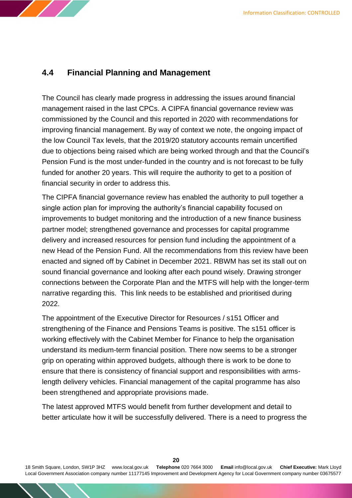

## **4.4 Financial Planning and Management**

The Council has clearly made progress in addressing the issues around financial management raised in the last CPCs. A CIPFA financial governance review was commissioned by the Council and this reported in 2020 with recommendations for improving financial management. By way of context we note, the ongoing impact of the low Council Tax levels, that the 2019/20 statutory accounts remain uncertified due to objections being raised which are being worked through and that the Council's Pension Fund is the most under-funded in the country and is not forecast to be fully funded for another 20 years. This will require the authority to get to a position of financial security in order to address this.

The CIPFA financial governance review has enabled the authority to pull together a single action plan for improving the authority's financial capability focused on improvements to budget monitoring and the introduction of a new finance business partner model; strengthened governance and processes for capital programme delivery and increased resources for pension fund including the appointment of a new Head of the Pension Fund. All the recommendations from this review have been enacted and signed off by Cabinet in December 2021. RBWM has set its stall out on sound financial governance and looking after each pound wisely. Drawing stronger connections between the Corporate Plan and the MTFS will help with the longer-term narrative regarding this. This link needs to be established and prioritised during 2022.

The appointment of the Executive Director for Resources / s151 Officer and strengthening of the Finance and Pensions Teams is positive. The s151 officer is working effectively with the Cabinet Member for Finance to help the organisation understand its medium-term financial position. There now seems to be a stronger grip on operating within approved budgets, although there is work to be done to ensure that there is consistency of financial support and responsibilities with armslength delivery vehicles. Financial management of the capital programme has also been strengthened and appropriate provisions made.

The latest approved MTFS would benefit from further development and detail to better articulate how it will be successfully delivered. There is a need to progress the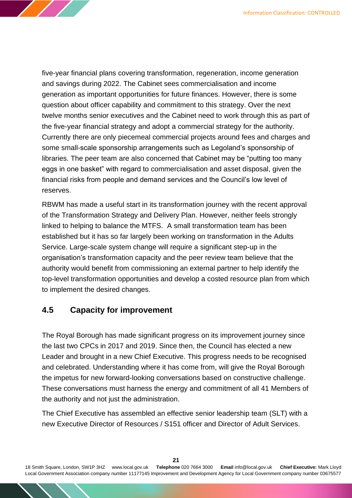five-year financial plans covering transformation, regeneration, income generation and savings during 2022. The Cabinet sees commercialisation and income generation as important opportunities for future finances. However, there is some question about officer capability and commitment to this strategy. Over the next twelve months senior executives and the Cabinet need to work through this as part of the five-year financial strategy and adopt a commercial strategy for the authority. Currently there are only piecemeal commercial projects around fees and charges and some small-scale sponsorship arrangements such as Legoland's sponsorship of libraries. The peer team are also concerned that Cabinet may be "putting too many eggs in one basket" with regard to commercialisation and asset disposal, given the financial risks from people and demand services and the Council's low level of reserves.

RBWM has made a useful start in its transformation journey with the recent approval of the Transformation Strategy and Delivery Plan. However, neither feels strongly linked to helping to balance the MTFS. A small transformation team has been established but it has so far largely been working on transformation in the Adults Service. Large-scale system change will require a significant step-up in the organisation's transformation capacity and the peer review team believe that the authority would benefit from commissioning an external partner to help identify the top-level transformation opportunities and develop a costed resource plan from which to implement the desired changes.

## **4.5 Capacity for improvement**

The Royal Borough has made significant progress on its improvement journey since the last two CPCs in 2017 and 2019. Since then, the Council has elected a new Leader and brought in a new Chief Executive. This progress needs to be recognised and celebrated. Understanding where it has come from, will give the Royal Borough the impetus for new forward-looking conversations based on constructive challenge. These conversations must harness the energy and commitment of all 41 Members of the authority and not just the administration.

The Chief Executive has assembled an effective senior leadership team (SLT) with a new Executive Director of Resources / S151 officer and Director of Adult Services.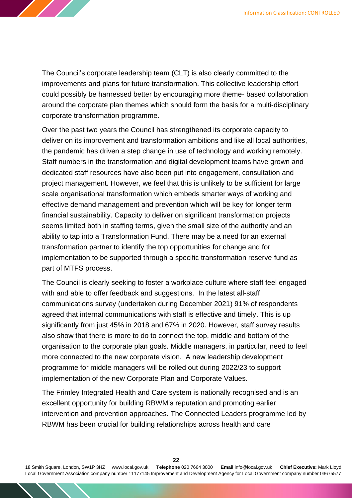The Council's corporate leadership team (CLT) is also clearly committed to the improvements and plans for future transformation. This collective leadership effort could possibly be harnessed better by encouraging more theme- based collaboration around the corporate plan themes which should form the basis for a multi-disciplinary corporate transformation programme.

Over the past two years the Council has strengthened its corporate capacity to deliver on its improvement and transformation ambitions and like all local authorities, the pandemic has driven a step change in use of technology and working remotely. Staff numbers in the transformation and digital development teams have grown and dedicated staff resources have also been put into engagement, consultation and project management. However, we feel that this is unlikely to be sufficient for large scale organisational transformation which embeds smarter ways of working and effective demand management and prevention which will be key for longer term financial sustainability. Capacity to deliver on significant transformation projects seems limited both in staffing terms, given the small size of the authority and an ability to tap into a Transformation Fund. There may be a need for an external transformation partner to identify the top opportunities for change and for implementation to be supported through a specific transformation reserve fund as part of MTFS process.

The Council is clearly seeking to foster a workplace culture where staff feel engaged with and able to offer feedback and suggestions. In the latest all-staff communications survey (undertaken during December 2021) 91% of respondents agreed that internal communications with staff is effective and timely. This is up significantly from just 45% in 2018 and 67% in 2020. However, staff survey results also show that there is more to do to connect the top, middle and bottom of the organisation to the corporate plan goals. Middle managers, in particular, need to feel more connected to the new corporate vision. A new leadership development programme for middle managers will be rolled out during 2022/23 to support implementation of the new Corporate Plan and Corporate Values.

The Frimley Integrated Health and Care system is nationally recognised and is an excellent opportunity for building RBWM's reputation and promoting earlier intervention and prevention approaches. The Connected Leaders programme led by RBWM has been crucial for building relationships across health and care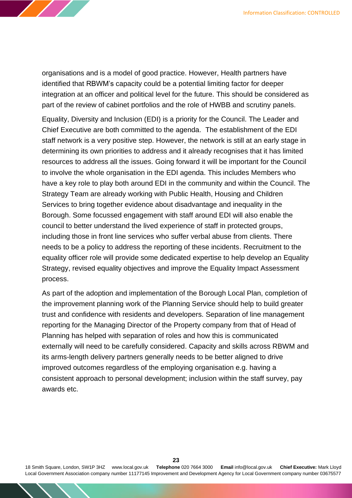

organisations and is a model of good practice. However, Health partners have identified that RBWM's capacity could be a potential limiting factor for deeper integration at an officer and political level for the future. This should be considered as part of the review of cabinet portfolios and the role of HWBB and scrutiny panels.

Equality, Diversity and Inclusion (EDI) is a priority for the Council. The Leader and Chief Executive are both committed to the agenda. The establishment of the EDI staff network is a very positive step. However, the network is still at an early stage in determining its own priorities to address and it already recognises that it has limited resources to address all the issues. Going forward it will be important for the Council to involve the whole organisation in the EDI agenda. This includes Members who have a key role to play both around EDI in the community and within the Council. The Strategy Team are already working with Public Health, Housing and Children Services to bring together evidence about disadvantage and inequality in the Borough. Some focussed engagement with staff around EDI will also enable the council to better understand the lived experience of staff in protected groups, including those in front line services who suffer verbal abuse from clients. There needs to be a policy to address the reporting of these incidents. Recruitment to the equality officer role will provide some dedicated expertise to help develop an Equality Strategy, revised equality objectives and improve the Equality Impact Assessment process.

As part of the adoption and implementation of the Borough Local Plan, completion of the improvement planning work of the Planning Service should help to build greater trust and confidence with residents and developers. Separation of line management reporting for the Managing Director of the Property company from that of Head of Planning has helped with separation of roles and how this is communicated externally will need to be carefully considered. Capacity and skills across RBWM and its arms-length delivery partners generally needs to be better aligned to drive improved outcomes regardless of the employing organisation e.g. having a consistent approach to personal development; inclusion within the staff survey, pay awards etc.

**23**<br>**Telephone** 020 7664 3000 **Email** info@local.gov.uk 18 Smith Square, London, SW1P 3HZ [www.local.gov.uk](http://www.local.gov.uk/) **Telephone** 020 7664 3000 **Email** [info@local.gov.uk](mailto:info@local.gov.uk) **Chief Executive:** Mark Lloyd Local Government Association company number 11177145 Improvement and Development Agency for Local Government company number 03675577